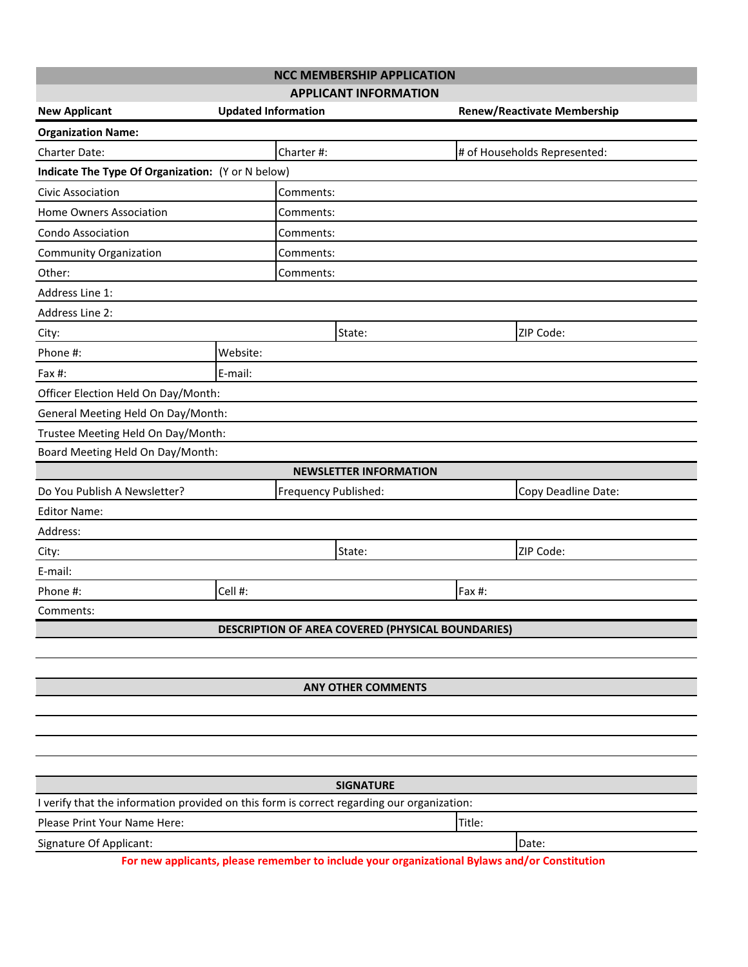| <b>NCC MEMBERSHIP APPLICATION</b>                                                                              |                            |                                                                                               |                                    |                              |  |  |  |  |
|----------------------------------------------------------------------------------------------------------------|----------------------------|-----------------------------------------------------------------------------------------------|------------------------------------|------------------------------|--|--|--|--|
|                                                                                                                |                            | <b>APPLICANT INFORMATION</b>                                                                  |                                    |                              |  |  |  |  |
| <b>New Applicant</b>                                                                                           | <b>Updated Information</b> |                                                                                               | <b>Renew/Reactivate Membership</b> |                              |  |  |  |  |
| <b>Organization Name:</b>                                                                                      |                            |                                                                                               |                                    |                              |  |  |  |  |
| Charter Date:                                                                                                  |                            | Charter#:                                                                                     |                                    | # of Households Represented: |  |  |  |  |
| Indicate The Type Of Organization: (Y or N below)                                                              |                            |                                                                                               |                                    |                              |  |  |  |  |
| Civic Association                                                                                              |                            | Comments:                                                                                     |                                    |                              |  |  |  |  |
| <b>Home Owners Association</b>                                                                                 |                            | Comments:                                                                                     |                                    |                              |  |  |  |  |
| <b>Condo Association</b>                                                                                       |                            | Comments:                                                                                     |                                    |                              |  |  |  |  |
| <b>Community Organization</b>                                                                                  |                            | Comments:                                                                                     |                                    |                              |  |  |  |  |
| Other:                                                                                                         |                            | Comments:                                                                                     |                                    |                              |  |  |  |  |
| Address Line 1:                                                                                                |                            |                                                                                               |                                    |                              |  |  |  |  |
| Address Line 2:                                                                                                |                            |                                                                                               |                                    |                              |  |  |  |  |
| City:                                                                                                          | State:                     |                                                                                               |                                    | ZIP Code:                    |  |  |  |  |
| Phone #:                                                                                                       | Website:                   |                                                                                               |                                    |                              |  |  |  |  |
| Fax #:                                                                                                         | E-mail:                    |                                                                                               |                                    |                              |  |  |  |  |
| Officer Election Held On Day/Month:                                                                            |                            |                                                                                               |                                    |                              |  |  |  |  |
| General Meeting Held On Day/Month:                                                                             |                            |                                                                                               |                                    |                              |  |  |  |  |
| Trustee Meeting Held On Day/Month:                                                                             |                            |                                                                                               |                                    |                              |  |  |  |  |
| Board Meeting Held On Day/Month:                                                                               |                            |                                                                                               |                                    |                              |  |  |  |  |
|                                                                                                                |                            | <b>NEWSLETTER INFORMATION</b>                                                                 |                                    |                              |  |  |  |  |
| Do You Publish A Newsletter?<br>Frequency Published:                                                           |                            |                                                                                               |                                    | Copy Deadline Date:          |  |  |  |  |
| <b>Editor Name:</b>                                                                                            |                            |                                                                                               |                                    |                              |  |  |  |  |
| Address:                                                                                                       |                            |                                                                                               |                                    |                              |  |  |  |  |
| State:<br>City:                                                                                                |                            |                                                                                               | ZIP Code:                          |                              |  |  |  |  |
| E-mail:                                                                                                        |                            |                                                                                               |                                    |                              |  |  |  |  |
| Phone #:                                                                                                       | Cell #:                    |                                                                                               | Fax #:                             |                              |  |  |  |  |
| Comments:                                                                                                      |                            |                                                                                               |                                    |                              |  |  |  |  |
| DESCRIPTION OF AREA COVERED (PHYSICAL BOUNDARIES)                                                              |                            |                                                                                               |                                    |                              |  |  |  |  |
|                                                                                                                |                            |                                                                                               |                                    |                              |  |  |  |  |
|                                                                                                                |                            |                                                                                               |                                    |                              |  |  |  |  |
| <b>ANY OTHER COMMENTS</b>                                                                                      |                            |                                                                                               |                                    |                              |  |  |  |  |
|                                                                                                                |                            |                                                                                               |                                    |                              |  |  |  |  |
|                                                                                                                |                            |                                                                                               |                                    |                              |  |  |  |  |
|                                                                                                                |                            |                                                                                               |                                    |                              |  |  |  |  |
|                                                                                                                |                            |                                                                                               |                                    |                              |  |  |  |  |
| <b>SIGNATURE</b><br>I verify that the information provided on this form is correct regarding our organization: |                            |                                                                                               |                                    |                              |  |  |  |  |
|                                                                                                                |                            |                                                                                               |                                    |                              |  |  |  |  |
| Please Print Your Name Here:                                                                                   |                            | Title:                                                                                        |                                    |                              |  |  |  |  |
| Signature Of Applicant:                                                                                        |                            | For new applicants, please remember to include your organizational Bylaws and/or Constitution |                                    | Date:                        |  |  |  |  |
|                                                                                                                |                            |                                                                                               |                                    |                              |  |  |  |  |